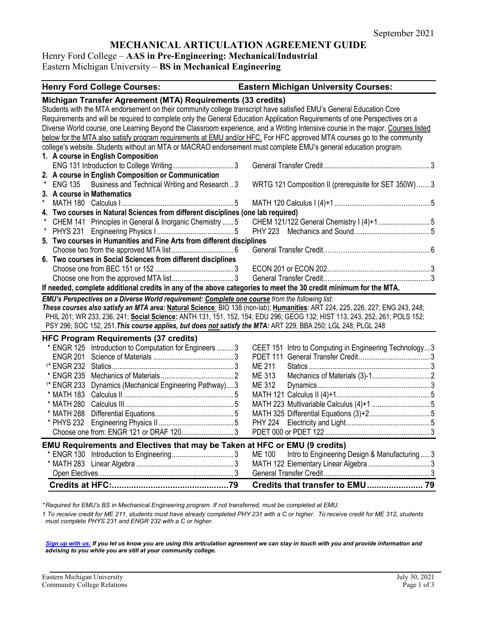# **MECHANICAL ARTICULATION AGREEMENT GUIDE**

Henry Ford College – **AAS in Pre-Engineering: Mechanical/Industrial** 

Eastern Michigan University – **BS in Mechanical Engineering**

| <b>Henry Ford College Courses:</b>                                                                                                                                                                                                                                                                                                                                                                                                                                                                                                                                                                                                                                                                | <b>Eastern Michigan University Courses:</b>                     |
|---------------------------------------------------------------------------------------------------------------------------------------------------------------------------------------------------------------------------------------------------------------------------------------------------------------------------------------------------------------------------------------------------------------------------------------------------------------------------------------------------------------------------------------------------------------------------------------------------------------------------------------------------------------------------------------------------|-----------------------------------------------------------------|
| Michigan Transfer Agreement (MTA) Requirements (33 credits)<br>Students with the MTA endorsement on their community college transcript have satisfied EMU's General Education Core<br>Requirements and will be required to complete only the General Education Application Requirements of one Perspectives on a<br>Diverse World course, one Learning Beyond the Classroom experience, and a Writing Intensive course in the major. Courses listed<br>below for the MTA also satisfy program requirements at EMU and/or HFC. For HFC approved MTA courses go to the community<br>college's website. Students without an MTA or MACRAO endorsement must complete EMU's general education program. |                                                                 |
| 1. A course in English Composition                                                                                                                                                                                                                                                                                                                                                                                                                                                                                                                                                                                                                                                                |                                                                 |
| 2. A course in English Composition or Communication<br>ENG 135 Business and Technical Writing and Research3<br>3. A course in Mathematics                                                                                                                                                                                                                                                                                                                                                                                                                                                                                                                                                         | WRTG 121 Composition II (prerequisite for SET 350W)  3          |
|                                                                                                                                                                                                                                                                                                                                                                                                                                                                                                                                                                                                                                                                                                   |                                                                 |
| 4. Two courses in Natural Sciences from different disciplines (one lab required)                                                                                                                                                                                                                                                                                                                                                                                                                                                                                                                                                                                                                  |                                                                 |
| CHEM 141 Principles in General & Inorganic Chemistry  5                                                                                                                                                                                                                                                                                                                                                                                                                                                                                                                                                                                                                                           | CHEM 121/122 General Chemistry I (4)+1 5                        |
|                                                                                                                                                                                                                                                                                                                                                                                                                                                                                                                                                                                                                                                                                                   | <b>PHY 223</b>                                                  |
| 5. Two courses in Humanities and Fine Arts from different disciplines                                                                                                                                                                                                                                                                                                                                                                                                                                                                                                                                                                                                                             |                                                                 |
|                                                                                                                                                                                                                                                                                                                                                                                                                                                                                                                                                                                                                                                                                                   |                                                                 |
| 6. Two courses in Social Sciences from different disciplines                                                                                                                                                                                                                                                                                                                                                                                                                                                                                                                                                                                                                                      |                                                                 |
|                                                                                                                                                                                                                                                                                                                                                                                                                                                                                                                                                                                                                                                                                                   |                                                                 |
|                                                                                                                                                                                                                                                                                                                                                                                                                                                                                                                                                                                                                                                                                                   |                                                                 |
| If needed, complete additional credits in any of the above categories to meet the 30 credit minimum for the MTA.                                                                                                                                                                                                                                                                                                                                                                                                                                                                                                                                                                                  |                                                                 |
| EMU's Perspectives on a Diverse World requirement: Complete one course from the following list:<br>These courses also satisfy an MTA area: Natural Science: BIO 138 (non-lab); Humanities: ART 224, 225, 226, 227; ENG 243, 248;<br>PHIL 201; WR 233, 236, 241; Social Science: ANTH 131, 151, 152, 154; EDU 296; GEOG 132; HIST 113, 243, 252, 261; POLS 152;<br>PSY 296; SOC 152, 251. This course applies, but does not satisfy the MTA: ART 229, BBA 250; LGL 248; PLGL 248                                                                                                                                                                                                                   |                                                                 |
| <b>HFC Program Requirements (37 credits)</b>                                                                                                                                                                                                                                                                                                                                                                                                                                                                                                                                                                                                                                                      |                                                                 |
| * ENGR 125 Introduction to Computation for Engineers  3                                                                                                                                                                                                                                                                                                                                                                                                                                                                                                                                                                                                                                           | CEET 151 Intro to Computing in Engineering Technology3          |
|                                                                                                                                                                                                                                                                                                                                                                                                                                                                                                                                                                                                                                                                                                   |                                                                 |
|                                                                                                                                                                                                                                                                                                                                                                                                                                                                                                                                                                                                                                                                                                   | <b>ME 211</b>                                                   |
|                                                                                                                                                                                                                                                                                                                                                                                                                                                                                                                                                                                                                                                                                                   | ME 313                                                          |
| <sup>1*</sup> ENGR 233 Dynamics (Mechanical Engineering Pathway) 3                                                                                                                                                                                                                                                                                                                                                                                                                                                                                                                                                                                                                                | ME 312                                                          |
|                                                                                                                                                                                                                                                                                                                                                                                                                                                                                                                                                                                                                                                                                                   |                                                                 |
|                                                                                                                                                                                                                                                                                                                                                                                                                                                                                                                                                                                                                                                                                                   |                                                                 |
|                                                                                                                                                                                                                                                                                                                                                                                                                                                                                                                                                                                                                                                                                                   |                                                                 |
|                                                                                                                                                                                                                                                                                                                                                                                                                                                                                                                                                                                                                                                                                                   |                                                                 |
| Choose one from: ENGR 121 or DRAF 1203                                                                                                                                                                                                                                                                                                                                                                                                                                                                                                                                                                                                                                                            |                                                                 |
| EMU Requirements and Electives that may be Taken at HFC or EMU (9 credits)                                                                                                                                                                                                                                                                                                                                                                                                                                                                                                                                                                                                                        |                                                                 |
|                                                                                                                                                                                                                                                                                                                                                                                                                                                                                                                                                                                                                                                                                                   | Intro to Engineering Design & Manufacturing  3<br><b>ME 100</b> |
|                                                                                                                                                                                                                                                                                                                                                                                                                                                                                                                                                                                                                                                                                                   |                                                                 |
|                                                                                                                                                                                                                                                                                                                                                                                                                                                                                                                                                                                                                                                                                                   |                                                                 |
|                                                                                                                                                                                                                                                                                                                                                                                                                                                                                                                                                                                                                                                                                                   |                                                                 |

*\* Required for EMU's BS in Mechanical Engineering program. If not transferred, must be completed at EMU.* 

*1 To receive credit for ME 211, students must have already completed PHY 231 with a C or higher. To receive credit for ME 312, students must complete PHYS 231 and ENGR 232 with a C or higher.*

*[Sign up with us:](https://www.emich.edu/ccr/articulation-agreements/signup.php) If you let us know you are using this articulation agreement we can stay in touch with you and provide information and advising to you while you are still at your community college.*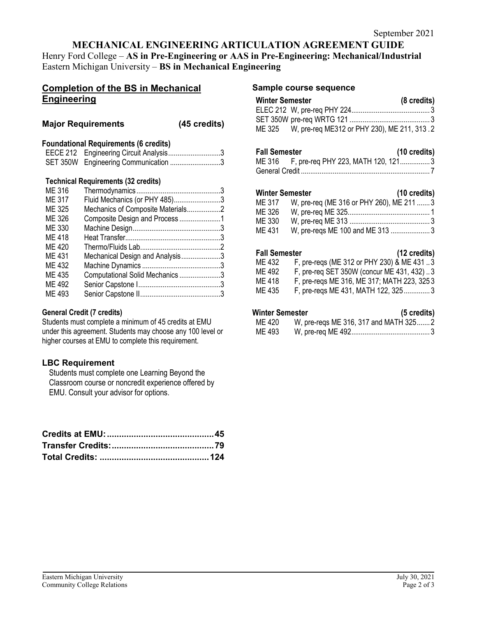# **MECHANICAL ENGINEERING ARTICULATION AGREEMENT GUIDE**

Henry Ford College – **AS in Pre-Engineering or AAS in Pre-Engineering: Mechanical/Industrial**  Eastern Michigan University – **BS in Mechanical Engineering**

# **Completion of the BS in Mechanical Engineering**

## **Major Requirements (45 credits)**

## **Foundational Requirements (6 credits)**

| EECE 212 Engineering Circuit Analysis3 |  |
|----------------------------------------|--|
| SET 350W Engineering Communication 3   |  |

## **Technical Requirements (32 credits)**

| ME 316 |                                   |  |
|--------|-----------------------------------|--|
| ME 317 | Fluid Mechanics (or PHY 485)3     |  |
| ME 325 | Mechanics of Composite Materials2 |  |
| ME 326 | Composite Design and Process1     |  |
| ME 330 |                                   |  |
| ME 418 |                                   |  |
| ME 420 |                                   |  |
| ME 431 | Mechanical Design and Analysis3   |  |
| ME 432 |                                   |  |
| ME 435 | Computational Solid Mechanics 3   |  |
| ME 492 |                                   |  |
| ME 493 |                                   |  |
|        |                                   |  |

### **General Credit (7 credits)**

Students must complete a minimum of 45 credits at EMU under this agreement. Students may choose any 100 level or higher courses at EMU to complete this requirement.

## **LBC Requirement**

Students must complete one Learning Beyond the Classroom course or noncredit experience offered by EMU. Consult your advisor for options.

#### **Sample course sequence**

| <b>Winter Semester</b> |                                                    | (8 credits) |
|------------------------|----------------------------------------------------|-------------|
|                        |                                                    |             |
|                        |                                                    |             |
|                        | ME 325 W, pre-req ME312 or PHY 230), ME 211, 313.2 |             |

## **Fall Semester (10 credits)**

| ME 316 F, pre-req PHY 223, MATH 120, 1213 |  |
|-------------------------------------------|--|
|                                           |  |

## **Winter Semester (10 credits)**

| ME 317 | W, pre-req (ME 316 or PHY 260), ME 211  3 |  |
|--------|-------------------------------------------|--|
| ME 326 |                                           |  |
| ME 330 |                                           |  |
| ME 431 | W, pre-regs ME 100 and ME 313 3           |  |

#### **Fall Semester (12 credits)**

| ME 432 | F, pre-reqs (ME 312 or PHY 230) & ME 431 3 |
|--------|--------------------------------------------|
| ME 492 | F, pre-req SET 350W (concur ME 431, 432)3  |
| ME 418 | F, pre-regs ME 316, ME 317; MATH 223, 3253 |
| ME 435 | F, pre-reqs ME 431, MATH 122, 3253         |

### **Winter Semester (5 credits)**

| ME 420 | W, pre-reqs ME 316, 317 and MATH 3252 |  |
|--------|---------------------------------------|--|
| ME 493 |                                       |  |